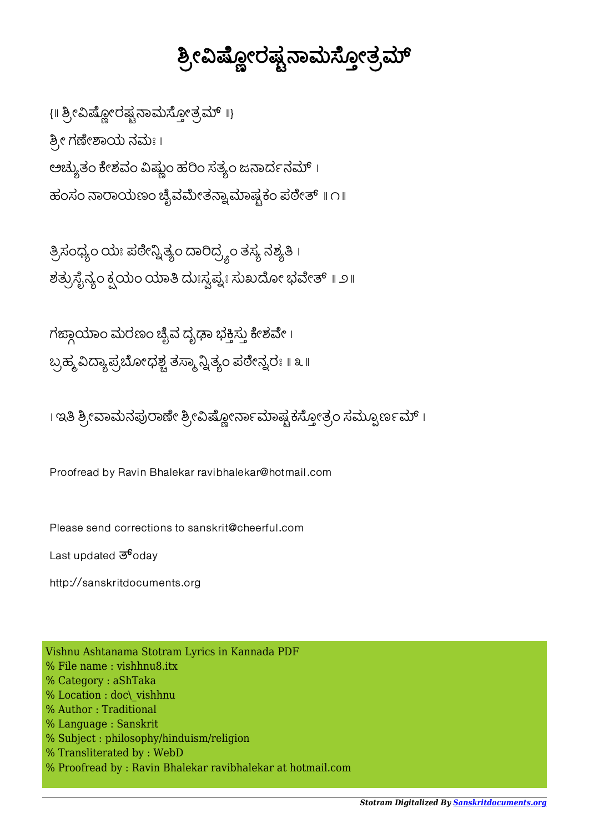## ಶ್ರೀವಿಷ್ಣೋರಷ್ಟನಾಮಸ್ಠೋತ್ರಮ್

{ || ಶ್ರೀವಿಷ್ಲೋರಷ್ಪನಾಮಸ್ಠೋತ್ರಮ್ ||} ಶ್ರೀ ಗಣೇಶಾಯ ನಮಃ। ಅಚ್ಯುತಂ ಕೇಶವಂ ವಿಷ್ಣುಂ ಹರಿಂ ಸತ್ಯಂ ಜನಾರ್ದನಮ್ । ಹಂಸಂ ನಾರಾಯಣಂ ಚೈವಮೇತನ್ವಾಮಾಷ್ಟಕಂ ಪಠೇತ್ ॥ ೧॥

ತ್ರಿಸಂಧ್ಯಂ ಯಃ ಪಠೇನ್ನಿತ್ಯಂ ದಾರಿದ್ರ್ಯಂ ತಸ್ಯ ನಶ್ಯತಿ । ಶತ್ರುಸೈನ್ಯಂ ಕ್ಷಯಂ ಯಾತಿ ದುಃಸ್ವಪ್ನಃ ಸುಖದೋ ಭವೇತ್ ॥ ೨॥

ಗಙ್ದಾಯಾಂ ಮರಣಂ ಚೈವ ದೃಢಾ ಭಕ್ತಿಸ್ತು ಕೇಶವೇ । ಬ್ರಹ್ಮ ವಿದ್ಯಾಪ್ರಬೋಧಶ್ಚ ತಸ್ಮಾನ್ವಿತ್ಯಂ ಪಠೇನ್ವರಃ ॥ ೩ ॥

। ಇತಿ ಶ್ರೀವಾಮನಪುರಾಣೇ ಶ್ರೀವಿಷ್ಲೋರ್ನಾಮಾಷ್ಟಕಸ್ತೋತ್ರಂ ಸಮ್ಸೂರ್ಣಮ್ ।

Proofread by Ravin Bhalekar ravibhalekar@hotmail.com

Please send corrections to sanskrit@cheerful.com

Last updated  $\mathfrak{G}^6$ oday

http://sanskritdocuments.org

Vishnu Ashtanama Stotram Lyrics in Kannada PDF % File name : vishhnu8.itx % Category : aShTaka % Location : doc\\_vishhnu % Author : Traditional % Language : Sanskrit % Subject : philosophy/hinduism/religion % Transliterated by : WebD % Proofread by : Ravin Bhalekar ravibhalekar at hotmail.com